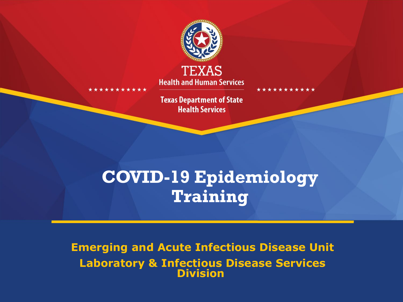

**Health and Human Services** 

**Texas Department of State Health Services** 

## **COVID-19 Epidemiology Training**

**Emerging and Acute Infectious Disease Unit Laboratory & Infectious Disease Services Division**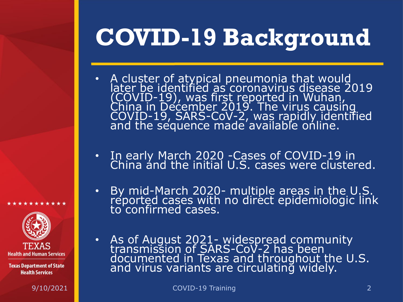# **COVID-19 Background**

- A cluster of atypical pneumonia that would later be identified as coronavirus disease 2019 (COVID-19), was first reported in Wuhan,<br>China in December 2019. The virus causing COVID-19, SARS-CoV-2, was rapidly identified<br>and the sequence made available online.
- In early March 2020 -Cases of COVID-19 in China and the initial U.S. cases were clustered.
- By mid-March 2020- multiple areas in the U.S. reported cases with no direct epidemiologic link to confirmed cases.
- As of August 2021- widespread community<br>transmission of SARS-CoV-2 has been documented in Texas and throughout the U.S. and virus variants are circulating widely.

\*\*\*\*\*\*

**Health and Human Services**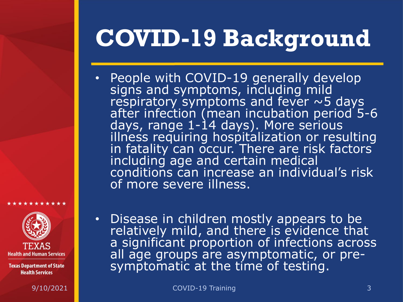# **COVID-19 Background**

- People with COVID-19 generally develop signs and symptoms, including mild respiratory symptoms and fever ~5 days after infection (mean incubation period 5-6 days, range 1-14 days). More serious illness requiring hospitalization or resulting in fatality can occur. There are risk factors including age and certain medical conditions can increase an individual's risk of more severe illness.
- **Health and Human Services**

\*\*\*\*\*\*

**Texas Department of State Health Services** 

• Disease in children mostly appears to be relatively mild, and there is evidence that a significant proportion of infections across all age groups are asymptomatic, or pre- symptomatic at the time of testing.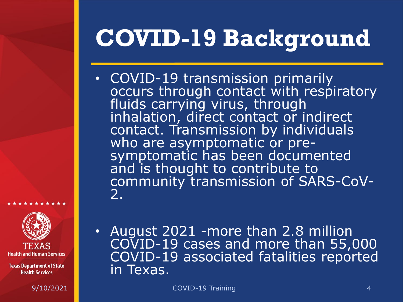# **COVID-19 Background**

- COVID-19 transmission primarily occurs through contact with respiratory fluids carrying virus, through inhalation, direct contact or indirect contact. Transmission by individuals who are asymptomatic or pre-<br>symptomatic has been documented and is thought to contribute to community transmission of SARS-CoV- 2.
- **Health and Human Services**

\*\*\*\*\*\*\*

**Texas Department of State Health Services** 

• August 2021 -more than 2.8 million COVID-19 cases and more than 55,000 COVID-19 associated fatalities reported in Texas.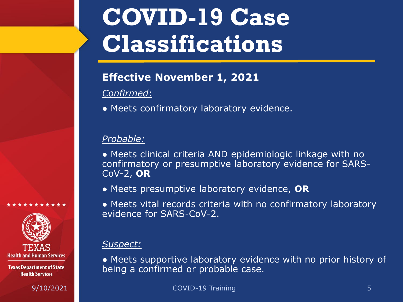# **COVID-19 Case Classifications**

### **Effective November 1, 2021**

### *Confirmed*:

● Meets confirmatory laboratory evidence.

### *Probable:*

- Meets clinical criteria AND epidemiologic linkage with no confirmatory or presumptive laboratory evidence for SARS-CoV-2, **OR**
- Meets presumptive laboratory evidence, **OR**
- Meets vital records criteria with no confirmatory laboratory evidence for SARS-CoV-2.

### *Suspect:*

• Meets supportive laboratory evidence with no prior history of being a confirmed or probable case.

9/10/2021 COVID-19 Training 5

**Health and Human Services** 

\*\*\*\*\*\*\*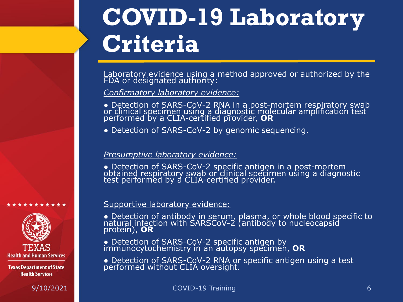# **COVID-19 Laboratory Criteria**

Laboratory evidence using a method approved or authorized by the FDA or de'signated authority:

*Confirmatory laboratory evidence:* 

● Detection of SARS-CoV-2 RNA in a post-mortem respiratory swab or clinical specimen using a diagnostic molecular amplification test performed by a CLIA-certified provider, **OR**

• Detection of SARS-CoV-2 by genomic sequencing.

#### *Presumptive laboratory evidence:*

● Detection of SARS-CoV-2 specific antigen in a post-mortem obtained respiratory swab or clinical specimen using a diagnostic test performed by a CLIA-certified provider.

#### Supportive laboratory evidence:

● Detection of antibody in serum, plasma, or whole blood specific to natural infection with SARSCoV-2 (antibody to nucleocapsid protein), **OR**

● Detection of SARS-CoV-2 specific antigen by immunocytochemistry in an autopsy specimen, **OR**

• Detection of SARS-CoV-2 RNA or specific antigen using a test performed without CLIA oversight.



\*\*\*\*\*\*\*\*\*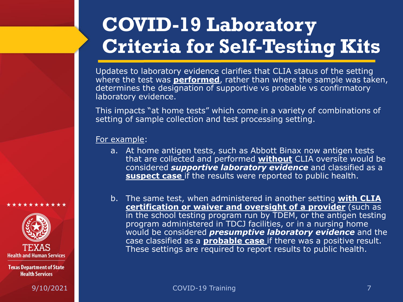## **COVID-19 Laboratory Criteria for Self-Testing Kits**

Updates to laboratory evidence clarifies that CLIA status of the setting where the test was **performed**, rather than where the sample was taken, determines the designation of supportive vs probable vs confirmatory laboratory evidence.

This impacts "at home tests" which come in a variety of combinations of setting of sample collection and test processing setting.

For example:

- a. At home antigen tests, such as Abbott Binax now antigen tests that are collected and performed **without** CLIA oversite would be considered *supportive laboratory evidence* and classified as a **suspect case** if the results were reported to public health.
- b. The same test, when administered in another setting **with CLIA certification or waiver and oversight of a provider** (such as in the school testing program run by TDEM, or the antigen testing program administered in TDCJ facilities, or in a nursing home would be considered *presumptive laboratory evidence* and the case classified as a **probable case** if there was a positive result. These settings are required to report results to public health.

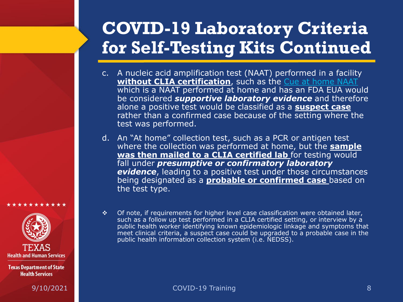## **COVID-19 Laboratory Criteria for Self-Testing Kits Continued**

- c. A nucleic acid amplification test (NAAT) performed in a facility **without CLIA certification**, such as the [Cue at home NAAT](https://www.fda.gov/media/138826/download) which is a NAAT performed at home and has an FDA EUA would be considered *supportive laboratory evidence* and therefore alone a positive test would be classified as a **suspect case**  rather than a confirmed case because of the setting where the test was performed.
- d. An "At home" collection test, such as a PCR or antigen test where the collection was performed at home, but the **sample was then mailed to a CLIA certified lab** for testing would fall under *presumptive or confirmatory laboratory*  **evidence**, leading to a positive test under those circumstances being designated as a **probable or confirmed case** based on the test type.



\*\*\*\*\*\*\*\*

**Texas Department of State Health Services** 

 $\div$  Of note, if requirements for higher level case classification were obtained later, such as a follow up test performed in a CLIA certified setting, or interview by a public health worker identifying known epidemiologic linkage and symptoms that meet clinical criteria, a suspect case could be upgraded to a probable case in the public health information collection system (i.e. NEDSS).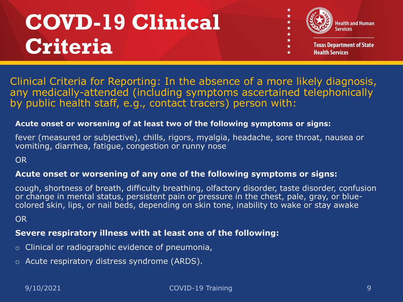## **COVD-19 Clinical Criteria**



Clinical Criteria for Reporting: In the absence of a more likely diagnosis, any medically-attended (including symptoms ascertained telephonically by public health staff, e.g., contact tracers) person with:

#### **Acute onset or worsening of at least two of the following symptoms or signs:**

fever (measured or subjective), chills, rigors, myalgia, headache, sore throat, nausea or vomiting, diarrhea, fatigue, congestion or runny nose

OR

### **Acute onset or worsening of any one of the following symptoms or signs:**

cough, shortness of breath, difficulty breathing, olfactory disorder, taste disorder, confusion or change in mental status, persistent pain or pressure in the chest, pale, gray, or bluecolored skin, lips, or nail beds, depending on skin tone, inability to wake or stay awake

OR

### **Severe respiratory illness with at least one of the following:**

- o Clinical or radiographic evidence of pneumonia,
- o Acute respiratory distress syndrome (ARDS).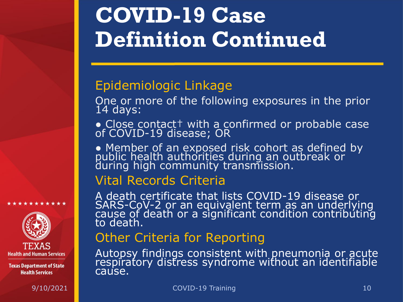## **COVID-19 Case Definition Continued**

## Epidemiologic Linkage

One or more of the following exposures in the prior 14 days:

● Close contact† with a confirmed or probable case<br>of COVID-19 disease; OR

• Member of an exposed risk cohort as defined by<br>public health authorities during an outbreak or during high community transmission.

### Vital Records Criteria

A death certificate that lists COVID-19 disease or SARS-CoV-2 or an equivalent term as an underlying<br>cause of death or a significant condition contributing to death.

## Other Criteria for Reporting

Autopsy findings consistent with pneumonia or acute respiratory distress syndrome without an identifiable cause.



\*\*\*\*\*\*\*\*